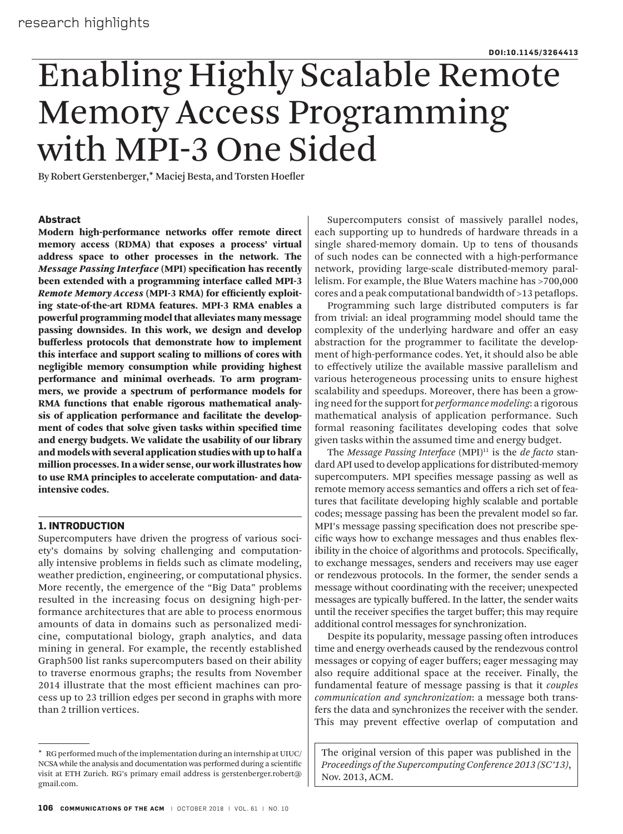# Enabling Highly Scalable Remote Memory Access Programming with MPI-3 One Sided

By Robert Gerstenberger,\* Maciej Besta, and Torsten Hoefler

### **Abstract**

Modern high-performance networks offer remote direct memory access (RDMA) that exposes a process' virtual address space to other processes in the network. The *Message Passing Interface* (MPI) specification has recently been extended with a programming interface called MPI-3 *Remote Memory Access* (MPI-3 RMA) for efficiently exploiting state-of-the-art RDMA features. MPI-3 RMA enables a powerful programming model that alleviates many message passing downsides. In this work, we design and develop bufferless protocols that demonstrate how to implement this interface and support scaling to millions of cores with negligible memory consumption while providing highest performance and minimal overheads. To arm programmers, we provide a spectrum of performance models for RMA functions that enable rigorous mathematical analysis of application performance and facilitate the development of codes that solve given tasks within specified time and energy budgets. We validate the usability of our library and models with several application studies with up to half a million processes. In a wider sense, our work illustrates how to use RMA principles to accelerate computation- and dataintensive codes.

## **1. INTRODUCTION**

Supercomputers have driven the progress of various society's domains by solving challenging and computationally intensive problems in fields such as climate modeling, weather prediction, engineering, or computational physics. More recently, the emergence of the "Big Data" problems resulted in the increasing focus on designing high-performance architectures that are able to process enormous amounts of data in domains such as personalized medicine, computational biology, graph analytics, and data mining in general. For example, the recently established Graph500 list ranks supercomputers based on their ability to traverse enormous graphs; the results from November 2014 illustrate that the most efficient machines can process up to 23 trillion edges per second in graphs with more than 2 trillion vertices.

Supercomputers consist of massively parallel nodes, each supporting up to hundreds of hardware threads in a single shared-memory domain. Up to tens of thousands of such nodes can be connected with a high-performance network, providing large-scale distributed-memory parallelism. For example, the Blue Waters machine has >700,000 cores and a peak computational bandwidth of >13 petaflops.

Programming such large distributed computers is far from trivial: an ideal programming model should tame the complexity of the underlying hardware and offer an easy abstraction for the programmer to facilitate the development of high-performance codes. Yet, it should also be able to effectively utilize the available massive parallelism and various heterogeneous processing units to ensure highest scalability and speedups. Moreover, there has been a growing need for the support for *performance modeling*: a rigorous mathematical analysis of application performance. Such formal reasoning facilitates developing codes that solve given tasks within the assumed time and energy budget.

The *Message Passing Interface* (MPI)<sup>11</sup> is the *de facto* standard API used to develop applications for distributed-memory supercomputers. MPI specifies message passing as well as remote memory access semantics and offers a rich set of features that facilitate developing highly scalable and portable codes; message passing has been the prevalent model so far. MPI's message passing specification does not prescribe specific ways how to exchange messages and thus enables flexibility in the choice of algorithms and protocols. Specifically, to exchange messages, senders and receivers may use eager or rendezvous protocols. In the former, the sender sends a message without coordinating with the receiver; unexpected messages are typically buffered. In the latter, the sender waits until the receiver specifies the target buffer; this may require additional control messages for synchronization.

Despite its popularity, message passing often introduces time and energy overheads caused by the rendezvous control messages or copying of eager buffers; eager messaging may also require additional space at the receiver. Finally, the fundamental feature of message passing is that it *couples communication and synchronization*: a message both transfers the data and synchronizes the receiver with the sender. This may prevent effective overlap of computation and

The original version of this paper was published in the *Proceedings of the Supercomputing Conference 2013 (SC'13)*, Nov. 2013, ACM.

<sup>\*</sup> RG performed much of the implementation during an internship at UIUC/ NCSA while the analysis and documentation was performed during a scientific visit at ETH Zurich. RG's primary email address is gerstenberger.robert@ gmail.com.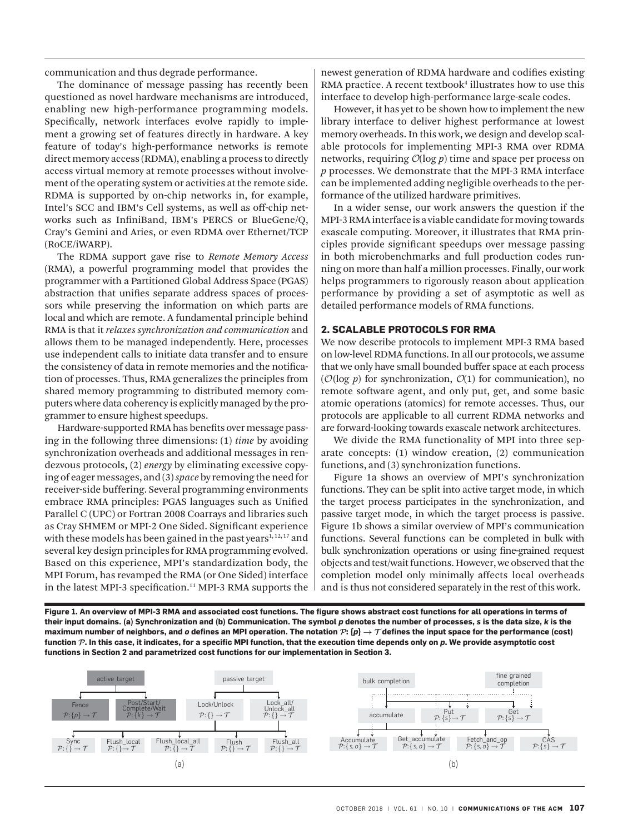communication and thus degrade performance.

The dominance of message passing has recently been questioned as novel hardware mechanisms are introduced, enabling new high-performance programming models. Specifically, network interfaces evolve rapidly to implement a growing set of features directly in hardware. A key feature of today's high-performance networks is remote direct memory access (RDMA), enabling a process to directly access virtual memory at remote processes without involvement of the operating system or activities at the remote side. RDMA is supported by on-chip networks in, for example, Intel's SCC and IBM's Cell systems, as well as off-chip networks such as InfiniBand, IBM's PERCS or BlueGene/Q, Cray's Gemini and Aries, or even RDMA over Ethernet/TCP (RoCE/iWARP).

The RDMA support gave rise to *Remote Memory Access* (RMA), a powerful programming model that provides the programmer with a Partitioned Global Address Space (PGAS) abstraction that unifies separate address spaces of processors while preserving the information on which parts are local and which are remote. A fundamental principle behind RMA is that it *relaxes synchronization and communication* and allows them to be managed independently. Here, processes use independent calls to initiate data transfer and to ensure the consistency of data in remote memories and the notification of processes. Thus, RMA generalizes the principles from shared memory programming to distributed memory computers where data coherency is explicitly managed by the programmer to ensure highest speedups.

Hardware-supported RMA has benefits over message passing in the following three dimensions: (1) *time* by avoiding synchronization overheads and additional messages in rendezvous protocols, (2) *energy* by eliminating excessive copying of eager messages, and (3) *space* by removing the need for receiver-side buffering. Several programming environments embrace RMA principles: PGAS languages such as Unified Parallel C (UPC) or Fortran 2008 Coarrays and libraries such as Cray SHMEM or MPI-2 One Sided. Significant experience with these models has been gained in the past years $1,12,17$  and several key design principles for RMA programming evolved. Based on this experience, MPI's standardization body, the MPI Forum, has revamped the RMA (or One Sided) interface in the latest MPI-3 specification.<sup>11</sup> MPI-3 RMA supports the newest generation of RDMA hardware and codifies existing RMA practice. A recent textbook<sup>4</sup> illustrates how to use this interface to develop high-performance large-scale codes.

However, it has yet to be shown how to implement the new library interface to deliver highest performance at lowest memory overheads. In this work, we design and develop scalable protocols for implementing MPI-3 RMA over RDMA networks, requiring O(log *p*) time and space per process on *p* processes. We demonstrate that the MPI-3 RMA interface can be implemented adding negligible overheads to the performance of the utilized hardware primitives.

In a wider sense, our work answers the question if the MPI-3 RMA interface is a viable candidate for moving towards exascale computing. Moreover, it illustrates that RMA principles provide significant speedups over message passing in both microbenchmarks and full production codes running on more than half a million processes. Finally, our work helps programmers to rigorously reason about application performance by providing a set of asymptotic as well as detailed performance models of RMA functions.

#### **2. SCALABLE PROTOCOLS FOR RMA**

We now describe protocols to implement MPI-3 RMA based on low-level RDMA functions. In all our protocols, we assume that we only have small bounded buffer space at each process ( $\mathcal{O}(\log p)$  for synchronization,  $\mathcal{O}(1)$  for communication), no remote software agent, and only put, get, and some basic atomic operations (atomics) for remote accesses. Thus, our protocols are applicable to all current RDMA networks and are forward-looking towards exascale network architectures.

We divide the RMA functionality of MPI into three separate concepts: (1) window creation, (2) communication functions, and (3) synchronization functions.

Figure 1a shows an overview of MPI's synchronization functions. They can be split into active target mode, in which the target process participates in the synchronization, and passive target mode, in which the target process is passive. Figure 1b shows a similar overview of MPI's communication functions. Several functions can be completed in bulk with bulk synchronization operations or using fine-grained request objects and test/wait functions. However, we observed that the completion model only minimally affects local overheads and is thus not considered separately in the rest of this work.

**Figure 1. An overview of MPI-3 RMA and associated cost functions. The figure shows abstract cost functions for all operations in terms of their input domains. (a) Synchronization and (b) Communication. The symbol** *p* **denotes the number of processes,** *s* **is the data size,** *k* **is the**  <code>maximum</code> number of neighbors, and  $o$  defines an MPI operation. The notation  $\mathcal{P}\colon\{\bm{p}\}\to\mathcal{T}$  defines the input space for the performance (cost) **function P. In this case, it indicates, for a specific MPI function, that the execution time depends only on** *p***. We provide asymptotic cost functions in Section 2 and parametrized cost functions for our implementation in Section 3.**

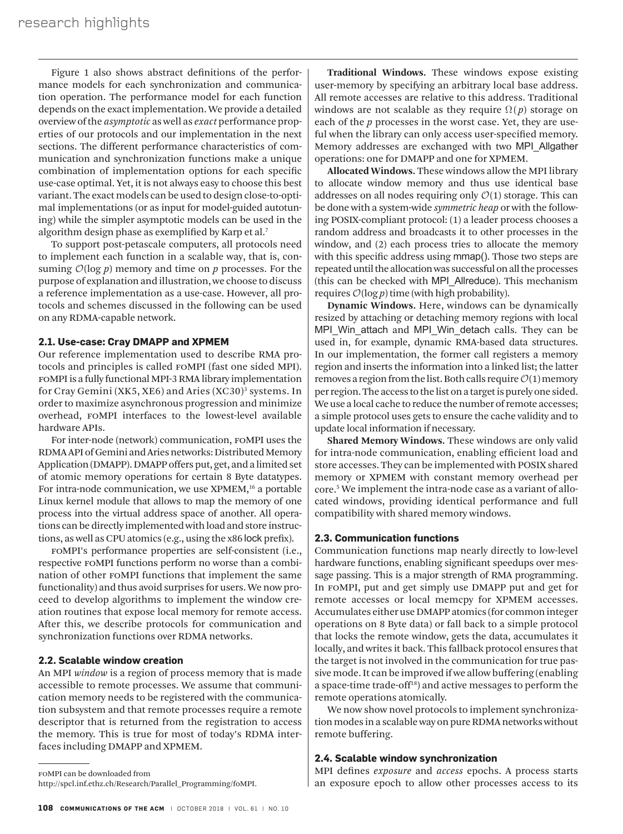Figure 1 also shows abstract definitions of the performance models for each synchronization and communication operation. The performance model for each function depends on the exact implementation. We provide a detailed overview of the *asymptotic* as well as *exact* performance properties of our protocols and our implementation in the next sections. The different performance characteristics of communication and synchronization functions make a unique combination of implementation options for each specific use-case optimal. Yet, it is not always easy to choose this best variant. The exact models can be used to design close-to-optimal implementations (or as input for model-guided autotuning) while the simpler asymptotic models can be used in the algorithm design phase as exemplified by Karp et al.7

To support post-petascale computers, all protocols need to implement each function in a scalable way, that is, consuming  $O(\log p)$  memory and time on p processes. For the purpose of explanation and illustration, we choose to discuss a reference implementation as a use-case. However, all protocols and schemes discussed in the following can be used on any RDMA-capable network.

#### **2.1. Use-case: Cray DMAPP and XPMEM**

Our reference implementation used to describe RMA protocols and principles is called foMPI (fast one sided MPI). foMPI is a fully functional MPI-3 RMA library implementation for Cray Gemini (XK5, XE6) and Aries (XC30)<sup>3</sup> systems. In order to maximize asynchronous progression and minimize overhead, foMPI interfaces to the lowest-level available hardware APIs.

For inter-node (network) communication, foMPI uses the RDMA API of Gemini and Aries networks: Distributed Memory Application (DMAPP). DMAPP offers put, get, and a limited set of atomic memory operations for certain 8 Byte datatypes. For intra-node communication, we use XPMEM,<sup>16</sup> a portable Linux kernel module that allows to map the memory of one process into the virtual address space of another. All operations can be directly implemented with load and store instructions, as well as CPU atomics (e.g., using the x86 lock prefix).

foMPI's performance properties are self-consistent (i.e., respective foMPI functions perform no worse than a combination of other foMPI functions that implement the same functionality) and thus avoid surprises for users. We now proceed to develop algorithms to implement the window creation routines that expose local memory for remote access. After this, we describe protocols for communication and synchronization functions over RDMA networks.

#### **2.2. Scalable window creation**

An MPI *window* is a region of process memory that is made accessible to remote processes. We assume that communication memory needs to be registered with the communication subsystem and that remote processes require a remote descriptor that is returned from the registration to access the memory. This is true for most of today's RDMA interfaces including DMAPP and XPMEM.

**Traditional Windows.** These windows expose existing user-memory by specifying an arbitrary local base address. All remote accesses are relative to this address. Traditional windows are not scalable as they require  $\Omega$ *(p)* storage on each of the *p* processes in the worst case. Yet, they are useful when the library can only access user-specified memory. Memory addresses are exchanged with two MPI\_Allgather operations: one for DMAPP and one for XPMEM.

**Allocated Windows.** These windows allow the MPI library to allocate window memory and thus use identical base addresses on all nodes requiring only  $O(1)$  storage. This can be done with a system-wide *symmetric heap* or with the following POSIX-compliant protocol: (1) a leader process chooses a random address and broadcasts it to other processes in the window, and (2) each process tries to allocate the memory with this specific address using mmap(). Those two steps are repeated until the allocation was successful on all the processes (this can be checked with MPI\_Allreduce). This mechanism requires  $O(log p)$  time (with high probability).

**Dynamic Windows.** Here, windows can be dynamically resized by attaching or detaching memory regions with local MPI Win attach and MPI Win detach calls. They can be used in, for example, dynamic RMA-based data structures. In our implementation, the former call registers a memory region and inserts the information into a linked list; the latter removes a region from the list. Both calls require  $O(1)$  memory per region. The access to the list on a target is purely one sided. We use a local cache to reduce the number of remote accesses; a simple protocol uses gets to ensure the cache validity and to update local information if necessary.

**Shared Memory Windows.** These windows are only valid for intra-node communication, enabling efficient load and store accesses. They can be implemented with POSIX shared memory or XPMEM with constant memory overhead per core.5 We implement the intra-node case as a variant of allocated windows, providing identical performance and full compatibility with shared memory windows.

## **2.3. Communication functions**

Communication functions map nearly directly to low-level hardware functions, enabling significant speedups over message passing. This is a major strength of RMA programming. In foMPI, put and get simply use DMAPP put and get for remote accesses or local memcpy for XPMEM accesses. Accumulates either use DMAPP atomics (for common integer operations on 8 Byte data) or fall back to a simple protocol that locks the remote window, gets the data, accumulates it locally, and writes it back. This fallback protocol ensures that the target is not involved in the communication for true passive mode. It can be improved if we allow buffering (enabling a space-time trade-off<sup>18</sup>) and active messages to perform the remote operations atomically.

We now show novel protocols to implement synchronization modes in a scalable way on pure RDMA networks without remote buffering.

# **2.4. Scalable window synchronization**

MPI defines *exposure* and *access* epochs. A process starts an exposure epoch to allow other processes access to its

foMPI can be downloaded from

http://spcl.inf.ethz.ch/Research/Parallel\_Programming/foMPI.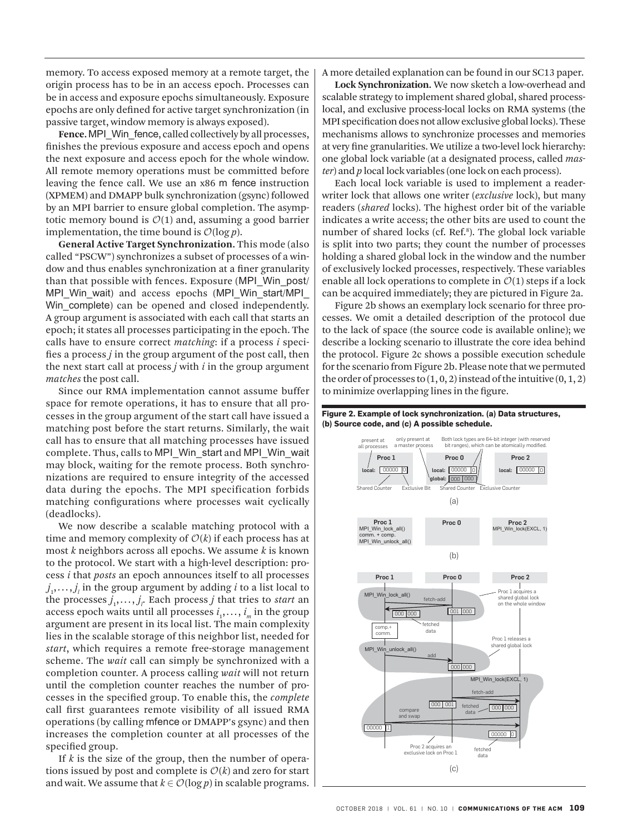memory. To access exposed memory at a remote target, the origin process has to be in an access epoch. Processes can be in access and exposure epochs simultaneously. Exposure epochs are only defined for active target synchronization (in passive target, window memory is always exposed).

**Fence.** MPI\_Win\_fence, called collectively by all processes, finishes the previous exposure and access epoch and opens the next exposure and access epoch for the whole window. All remote memory operations must be committed before leaving the fence call. We use an x86 m fence instruction (XPMEM) and DMAPP bulk synchronization (gsync) followed by an MPI barrier to ensure global completion. The asymptotic memory bound is  $O(1)$  and, assuming a good barrier implementation, the time bound is  $O(\log p)$ .

**General Active Target Synchronization.** This mode (also called "PSCW") synchronizes a subset of processes of a window and thus enables synchronization at a finer granularity than that possible with fences. Exposure (MPI\_Win\_post/ MPI\_Win\_wait) and access epochs (MPI\_Win\_start/MPI\_ Win complete) can be opened and closed independently. A group argument is associated with each call that starts an epoch; it states all processes participating in the epoch. The calls have to ensure correct *matching*: if a process *i* specifies a process *j* in the group argument of the post call, then the next start call at process *j* with *i* in the group argument *matches* the post call.

Since our RMA implementation cannot assume buffer space for remote operations, it has to ensure that all processes in the group argument of the start call have issued a matching post before the start returns. Similarly, the wait call has to ensure that all matching processes have issued complete. Thus, calls to MPI\_Win\_start and MPI\_Win\_wait may block, waiting for the remote process. Both synchronizations are required to ensure integrity of the accessed data during the epochs. The MPI specification forbids matching configurations where processes wait cyclically (deadlocks).

We now describe a scalable matching protocol with a time and memory complexity of  $O(k)$  if each process has at most *k* neighbors across all epochs. We assume *k* is known to the protocol. We start with a high-level description: process *i* that *posts* an epoch announces itself to all processes  $j_1^j, \ldots, j_l^j$  in the group argument by adding *i* to a list local to the processes  $j_1, \ldots, j_r$  Each process  $j$  that tries to *start* an access epoch waits until all processes  $i_1, \ldots, i_m$  in the group argument are present in its local list. The main complexity lies in the scalable storage of this neighbor list, needed for *start*, which requires a remote free-storage management scheme. The *wait* call can simply be synchronized with a completion counter. A process calling *wait* will not return until the completion counter reaches the number of processes in the specified group. To enable this, the *complete* call first guarantees remote visibility of all issued RMA operations (by calling mfence or DMAPP's gsync) and then increases the completion counter at all processes of the specified group.

If *k* is the size of the group, then the number of operations issued by post and complete is  $O(k)$  and zero for start and wait. We assume that  $k \in \mathcal{O}(\log p)$  in scalable programs.

A more detailed explanation can be found in our SC13 paper.

**Lock Synchronization.** We now sketch a low-overhead and scalable strategy to implement shared global, shared processlocal, and exclusive process-local locks on RMA systems (the MPI specification does not allow exclusive global locks). These mechanisms allows to synchronize processes and memories at very fine granularities. We utilize a two-level lock hierarchy: one global lock variable (at a designated process, called *master*) and *p* local lock variables (one lock on each process).

Each local lock variable is used to implement a readerwriter lock that allows one writer (*exclusive* lock), but many readers (*shared* locks). The highest order bit of the variable indicates a write access; the other bits are used to count the number of shared locks (cf. Ref.<sup>8</sup>). The global lock variable is split into two parts; they count the number of processes holding a shared global lock in the window and the number of exclusively locked processes, respectively. These variables enable all lock operations to complete in  $O(1)$  steps if a lock can be acquired immediately; they are pictured in Figure 2a.

Figure 2b shows an exemplary lock scenario for three processes. We omit a detailed description of the protocol due to the lack of space (the source code is available online); we describe a locking scenario to illustrate the core idea behind the protocol. Figure 2c shows a possible execution schedule for the scenario from Figure 2b. Please note that we permuted the order of processes to  $(1, 0, 2)$  instead of the intuitive  $(0, 1, 2)$ to minimize overlapping lines in the figure.

#### **Figure 2. Example of lock synchronization. (a) Data structures, (b) Source code, and (c) A possible schedule.**

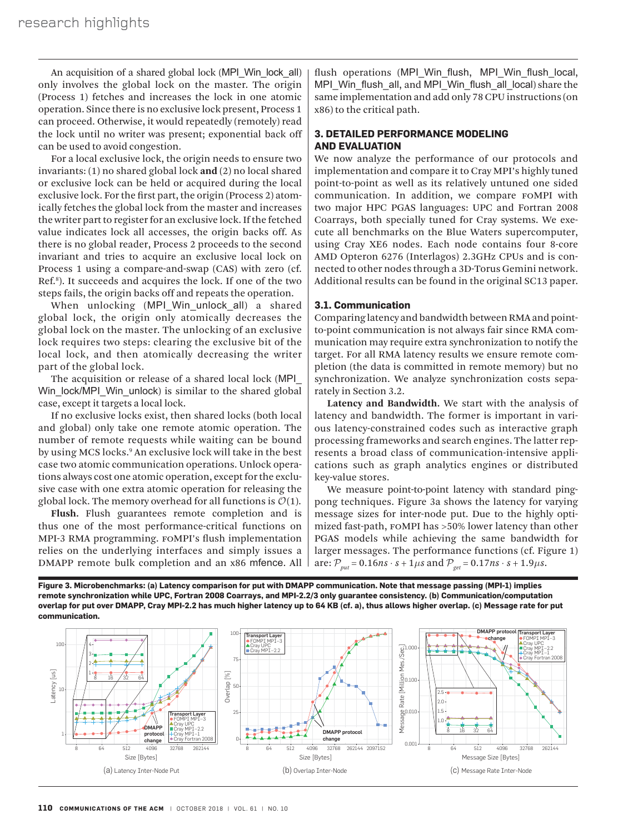An acquisition of a shared global lock (MPI\_Win\_lock\_all) only involves the global lock on the master. The origin (Process 1) fetches and increases the lock in one atomic operation. Since there is no exclusive lock present, Process 1 can proceed. Otherwise, it would repeatedly (remotely) read the lock until no writer was present; exponential back off can be used to avoid congestion.

For a local exclusive lock, the origin needs to ensure two invariants: (1) no shared global lock **and** (2) no local shared or exclusive lock can be held or acquired during the local exclusive lock. For the first part, the origin (Process 2) atomically fetches the global lock from the master and increases the writer part to register for an exclusive lock. If the fetched value indicates lock all accesses, the origin backs off. As there is no global reader, Process 2 proceeds to the second invariant and tries to acquire an exclusive local lock on Process 1 using a compare-and-swap (CAS) with zero (cf. Ref.<sup>8</sup>). It succeeds and acquires the lock. If one of the two steps fails, the origin backs off and repeats the operation.

When unlocking (MPI Win unlock all) a shared global lock, the origin only atomically decreases the global lock on the master. The unlocking of an exclusive lock requires two steps: clearing the exclusive bit of the local lock, and then atomically decreasing the writer part of the global lock.

The acquisition or release of a shared local lock (MPI\_ Win lock/MPI Win unlock) is similar to the shared global case, except it targets a local lock.

If no exclusive locks exist, then shared locks (both local and global) only take one remote atomic operation. The number of remote requests while waiting can be bound by using MCS locks.9 An exclusive lock will take in the best case two atomic communication operations. Unlock operations always cost one atomic operation, except for the exclusive case with one extra atomic operation for releasing the global lock. The memory overhead for all functions is  $O(1)$ .

**Flush.** Flush guarantees remote completion and is thus one of the most performance-critical functions on MPI-3 RMA programming. foMPI's flush implementation relies on the underlying interfaces and simply issues a DMAPP remote bulk completion and an x86 mfence. All flush operations (MPI Win flush, MPI Win flush local, MPI\_Win\_flush\_all, and MPI\_Win\_flush\_all\_local) share the same implementation and add only 78 CPU instructions (on x86) to the critical path.

# **3. DETAILED PERFORMANCE MODELING AND EVALUATION**

We now analyze the performance of our protocols and implementation and compare it to Cray MPI's highly tuned point-to-point as well as its relatively untuned one sided communication. In addition, we compare foMPI with two major HPC PGAS languages: UPC and Fortran 2008 Coarrays, both specially tuned for Cray systems. We execute all benchmarks on the Blue Waters supercomputer, using Cray XE6 nodes. Each node contains four 8-core AMD Opteron 6276 (Interlagos) 2.3GHz CPUs and is connected to other nodes through a 3D-Torus Gemini network. Additional results can be found in the original SC13 paper.

#### **3.1. Communication**

Comparing latency and bandwidth between RMA and pointto-point communication is not always fair since RMA communication may require extra synchronization to notify the target. For all RMA latency results we ensure remote completion (the data is committed in remote memory) but no synchronization. We analyze synchronization costs separately in Section 3.2.

**Latency and Bandwidth.** We start with the analysis of latency and bandwidth. The former is important in various latency-constrained codes such as interactive graph processing frameworks and search engines. The latter represents a broad class of communication-intensive applications such as graph analytics engines or distributed key-value stores.

We measure point-to-point latency with standard pingpong techniques. Figure 3a shows the latency for varying message sizes for inter-node put. Due to the highly optimized fast-path, foMPI has >50% lower latency than other PGAS models while achieving the same bandwidth for larger messages. The performance functions (cf. Figure 1) are:  $P_{\text{put}} = 0.16 \text{ns} \cdot \text{s} + 1 \mu \text{s} \text{ and } P_{\text{get}} = 0.17 \text{ns} \cdot \text{s} + 1.9 \mu \text{s}.$ 



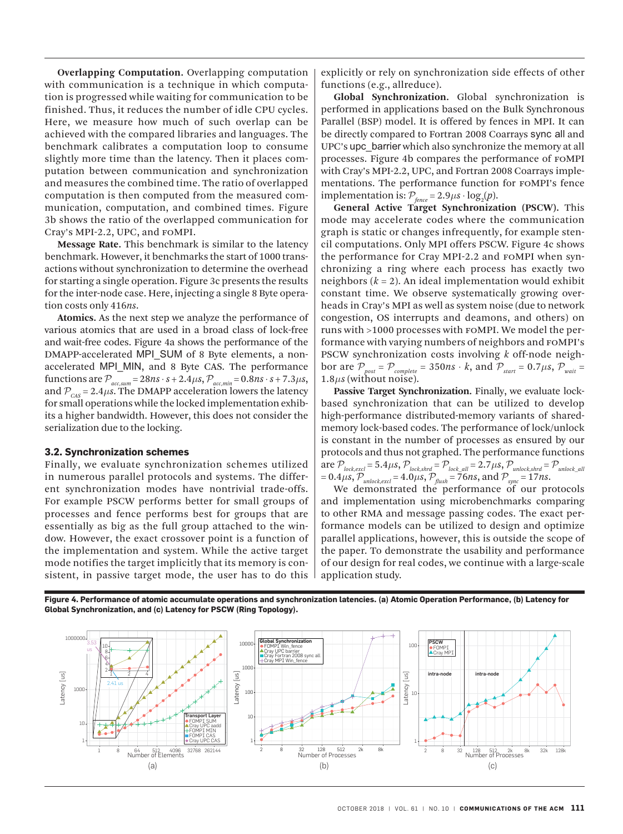**Overlapping Computation.** Overlapping computation with communication is a technique in which computation is progressed while waiting for communication to be finished. Thus, it reduces the number of idle CPU cycles. Here, we measure how much of such overlap can be achieved with the compared libraries and languages. The benchmark calibrates a computation loop to consume slightly more time than the latency. Then it places computation between communication and synchronization and measures the combined time. The ratio of overlapped computation is then computed from the measured communication, computation, and combined times. Figure 3b shows the ratio of the overlapped communication for Cray's MPI-2.2, UPC, and foMPI.

**Message Rate.** This benchmark is similar to the latency benchmark. However, it benchmarks the start of 1000 transactions without synchronization to determine the overhead for starting a single operation. Figure 3c presents the results for the inter-node case. Here, injecting a single 8 Byte operation costs only 416*ns*.

**Atomics.** As the next step we analyze the performance of various atomics that are used in a broad class of lock-free and wait-free codes. Figure 4a shows the performance of the DMAPP-accelerated MPI\_SUM of 8 Byte elements, a nonaccelerated MPI\_MIN, and 8 Byte CAS. The performance  $\text{functions are } \mathcal{P}_{\text{acc,sum}} = 28ns \cdot s + 2.4 \mu s, \mathcal{P}_{\text{acc,min}} = 0.8ns \cdot s + 7.3 \mu s,$ and  $P_{\text{CAS}} = 2.4 \mu s$ . The DMAPP acceleration lowers the latency for small operations while the locked implementation exhibits a higher bandwidth. However, this does not consider the serialization due to the locking.

#### **3.2. Synchronization schemes**

Finally, we evaluate synchronization schemes utilized in numerous parallel protocols and systems. The different synchronization modes have nontrivial trade-offs. For example PSCW performs better for small groups of processes and fence performs best for groups that are essentially as big as the full group attached to the window. However, the exact crossover point is a function of the implementation and system. While the active target mode notifies the target implicitly that its memory is consistent, in passive target mode, the user has to do this explicitly or rely on synchronization side effects of other functions (e.g., allreduce).

**Global Synchronization.** Global synchronization is performed in applications based on the Bulk Synchronous Parallel (BSP) model. It is offered by fences in MPI. It can be directly compared to Fortran 2008 Coarrays sync all and UPC's upc\_barrier which also synchronize the memory at all processes. Figure 4b compares the performance of foMPI with Cray's MPI-2.2, UPC, and Fortran 2008 Coarrays implementations. The performance function for foMPI's fence implementation is:  $P_{\text{fence}} = 2.9 \mu s \cdot \log_2(p)$ .

**General Active Target Synchronization (PSCW).** This mode may accelerate codes where the communication graph is static or changes infrequently, for example stencil computations. Only MPI offers PSCW. Figure 4c shows the performance for Cray MPI-2.2 and foMPI when synchronizing a ring where each process has exactly two neighbors  $(k = 2)$ . An ideal implementation would exhibit constant time. We observe systematically growing overheads in Cray's MPI as well as system noise (due to network congestion, OS interrupts and deamons, and others) on runs with >1000 processes with foMPI. We model the performance with varying numbers of neighbors and foMPI's PSCW synchronization costs involving *k* off-node neighbor are  $P_{post} = P_{complete} = 350ns \cdot k$ , and  $P_{start} = 0.7 \mu s$ ,  $P_{wait} =$  $1.8\mu s$  (without noise).

**Passive Target Synchronization.** Finally, we evaluate lockbased synchronization that can be utilized to develop high-performance distributed-memory variants of sharedmemory lock-based codes. The performance of lock/unlock is constant in the number of processes as ensured by our protocols and thus not graphed. The performance functions  $\text{are } \mathcal{P}_{\text{lock,excl}} = 5.4 \mu s, \mathcal{P}_{\text{lock,shrd}} = \mathcal{P}_{\text{lock\_all}} = 2.7 \mu s, \mathcal{P}_{\text{unlock,shrd}} = \mathcal{P}_{\text{unlock\_all}}$  $= 0.4 \mu s, \mathcal{P}_{unlock, excl} = 4.0 \mu s, \mathcal{P}_{\text{flux}} = 76 ns, \text{and } \mathcal{P}_{\text{sync}} = 17 ns.$ 

We demonstrated the performance of our protocols and implementation using microbenchmarks comparing to other RMA and message passing codes. The exact performance models can be utilized to design and optimize parallel applications, however, this is outside the scope of the paper. To demonstrate the usability and performance of our design for real codes, we continue with a large-scale application study.



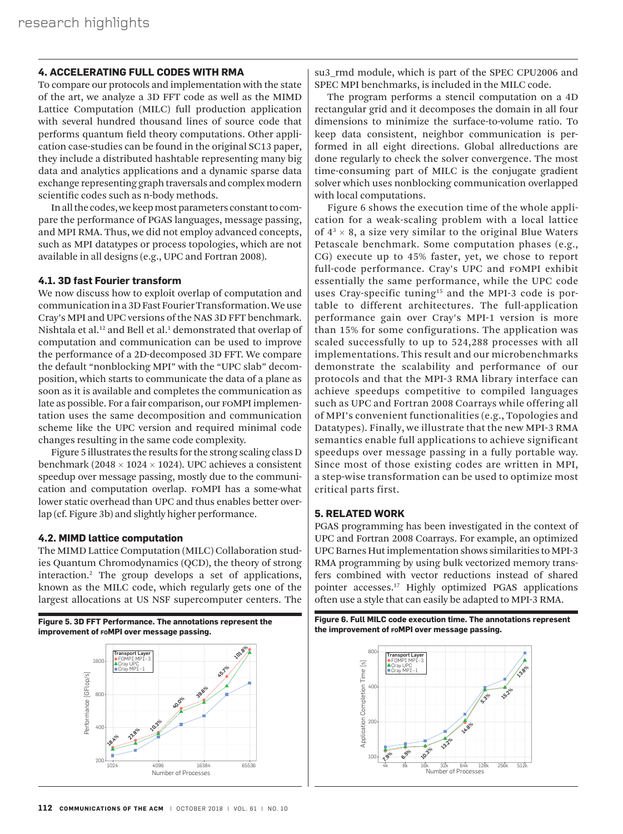# **4. ACCELERATING FULL CODES WITH RMA**

To compare our protocols and implementation with the state of the art, we analyze a 3D FFT code as well as the MIMD Lattice Computation (MILC) full production application with several hundred thousand lines of source code that performs quantum field theory computations. Other application case-studies can be found in the original SC13 paper, they include a distributed hashtable representing many big data and analytics applications and a dynamic sparse data exchange representing graph traversals and complex modern scientific codes such as n-body methods.

In all the codes, we keep most parameters constant to compare the performance of PGAS languages, message passing, and MPI RMA. Thus, we did not employ advanced concepts, such as MPI datatypes or process topologies, which are not available in all designs (e.g., UPC and Fortran 2008).

## **4.1. 3D fast Fourier transform**

We now discuss how to exploit overlap of computation and communication in a 3D Fast Fourier Transformation. We use Cray's MPI and UPC versions of the NAS 3D FFT benchmark. Nishtala et al.<sup>12</sup> and Bell et al.<sup>1</sup> demonstrated that overlap of computation and communication can be used to improve the performance of a 2D-decomposed 3D FFT. We compare the default "nonblocking MPI" with the "UPC slab" decomposition, which starts to communicate the data of a plane as soon as it is available and completes the communication as late as possible. For a fair comparison, our FOMPI implementation uses the same decomposition and communication scheme like the UPC version and required minimal code changes resulting in the same code complexity.

Figure 5 illustrates the results for the strong scaling class D benchmark (2048  $\times$  1024  $\times$  1024). UPC achieves a consistent speedup over message passing, mostly due to the communication and computation overlap. foMPI has a some-what lower static overhead than UPC and thus enables better overlap (cf. Figure 3b) and slightly higher performance.

#### **4.2. MIMD lattice computation**

The MIMD Lattice Computation (MILC) Collaboration studies Quantum Chromodynamics (QCD), the theory of strong interaction.2 The group develops a set of applications, known as the MILC code, which regularly gets one of the largest allocations at US NSF supercomputer centers. The



su3 rmd module, which is part of the SPEC CPU2006 and SPEC MPI benchmarks, is included in the MILC code.

The program performs a stencil computation on a 4D rectangular grid and it decomposes the domain in all four dimensions to minimize the surface-to-volume ratio. To keep data consistent, neighbor communication is performed in all eight directions. Global allreductions are done regularly to check the solver convergence. The most time-consuming part of MILC is the conjugate gradient solver which uses nonblocking communication overlapped with local computations.

Figure 6 shows the execution time of the whole application for a weak-scaling problem with a local lattice of  $4^3 \times 8$ , a size very similar to the original Blue Waters Petascale benchmark. Some computation phases (e.g., CG) execute up to 45% faster, yet, we chose to report full-code performance. Cray's UPC and foMPI exhibit essentially the same performance, while the UPC code uses Cray-specific tuning<sup>15</sup> and the MPI-3 code is portable to different architectures. The full-application performance gain over Cray's MPI-1 version is more than 15% for some configurations. The application was scaled successfully to up to 524,288 processes with all implementations. This result and our microbenchmarks demonstrate the scalability and performance of our protocols and that the MPI-3 RMA library interface can achieve speedups competitive to compiled languages such as UPC and Fortran 2008 Coarrays while offering all of MPI's convenient functionalities (e.g., Topologies and Datatypes). Finally, we illustrate that the new MPI-3 RMA semantics enable full applications to achieve significant speedups over message passing in a fully portable way. Since most of those existing codes are written in MPI, a step-wise transformation can be used to optimize most critical parts first.

#### **5. RELATED WORK**

PGAS programming has been investigated in the context of UPC and Fortran 2008 Coarrays. For example, an optimized UPC Barnes Hut implementation shows similarities to MPI-3 RMA programming by using bulk vectorized memory transfers combined with vector reductions instead of shared pointer accesses.17 Highly optimized PGAS applications often use a style that can easily be adapted to MPI-3 RMA.